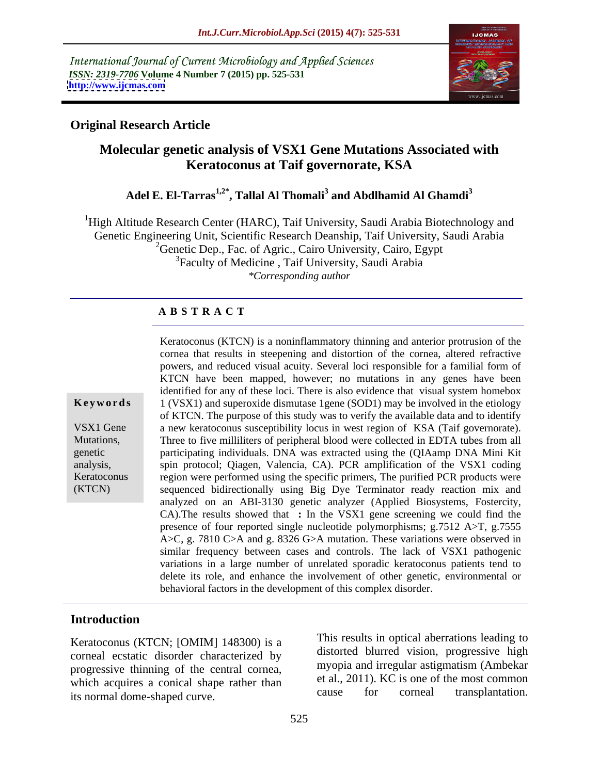International Journal of Current Microbiology and Applied Sciences *ISSN: 2319-7706* **Volume 4 Number 7 (2015) pp. 525-531 <http://www.ijcmas.com>**



### **Original Research Article**

# **Molecular genetic analysis of VSX1 Gene Mutations Associated with Keratoconus at Taif governorate, KSA**

## **Adel E. El-Tarras1,2\* , Tallal Al Thomali<sup>3</sup> and Abdlhamid Al Ghamdi<sup>3</sup>**

<sup>1</sup>High Altitude Research Center (HARC), Taif University, Saudi Arabia Biotechnology and Genetic Engineering Unit, Scientific Research Deanship, Taif University, Saudi Arabia <sup>2</sup>Genetic Dep., Fac. of Agric., Cairo University, Cairo, Egypt <sup>3</sup>Faculty of Medicine, Taif University, Saudi Arabia *\*Corresponding author*

### **A B S T R A C T**

(KTCN)

Keratoconus (KTCN) is a noninflammatory thinning and anterior protrusion of the cornea that results in steepening and distortion of the cornea, altered refractive powers, and reduced visual acuity. Several loci responsible for a familial form of KTCN have been mapped, however; no mutations in any genes have been identified for any of these loci. There is also evidence that visual system homebox 1 (VSX1) and superoxide dismutase 1gene (SOD1) may be involved in the etiology of KTCN. The purpose of this study was to verify the available data and to identify VSX1 Gene a new keratoconus susceptibility locus in west region of KSA (Taif governorate). Three to five milliliters of peripheral blood were collected in EDTA tubes from all Mutations, participating individuals. DNA was extracted using the (QIAamp DNA Mini Kit genetic spin protocol; Qiagen, Valencia, CA). PCR amplification of the VSX1 coding analysis, Keratoconus region were performed using the specific primers, The purified PCR products were sequenced bidirectionally using Big Dye Terminator ready reaction mix and analyzed on an ABI-3130 genetic analyzer (Applied Biosystems, Fostercity, CA).The results showed that **:** In the VSX1 gene screening we could find the presence of four reported single nucleotide polymorphisms; g.7512 A>T, g.7555 A>C, g. 7810 C>A and g. 8326 G>A mutation. These variations were observed in similar frequency between cases and controls. The lack of VSX1 pathogenic variations in a large number of unrelated sporadic keratoconus patients tend to delete its role, and enhance the involvement of other genetic, environmental or **Keywords** I (VSX1) and superoxide dismutase 1gene (SOD1) may be involved in the etiology of KTCN. The purpose of this study was to verify the available data and to identify VSX1 Gene are vertexencent in the stractor of KS

### **Introduction**

Keratoconus (KTCN; [OMIM] 148300) is a corneal ecstatic disorder characterized by progressive thinning of the central cornea, which acquires a conical shape rather than the et al., 2011). KC is one of the most common<br>the normal dome shaped ourse than the cause of the corneal transplantation. its normal dome-shaped curve.

This results in optical aberrations leading to distorted blurred vision, progressive high myopia and irregular astigmatism (Ambekar et al., 2011). KC is one of the most common cause for corneal transplantation.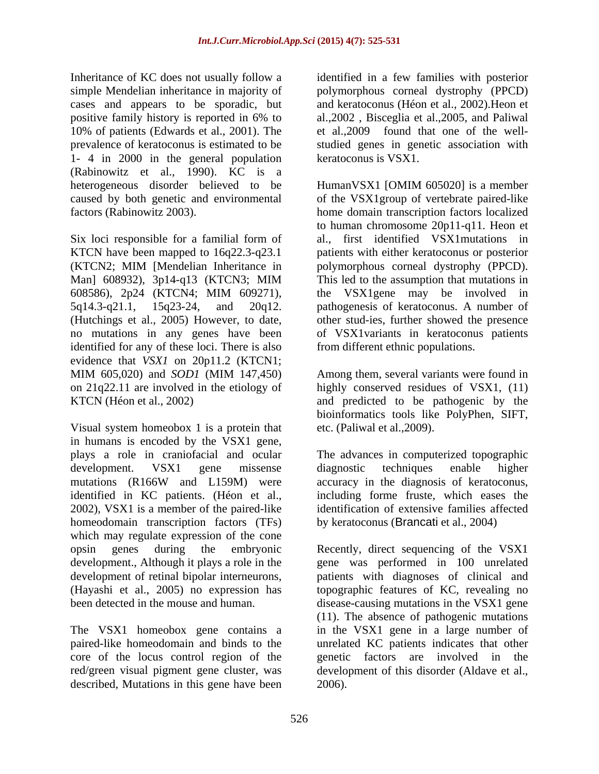Inheritance of KC does not usually follow a identified in a few families with posterior simple Mendelian inheritance in majority of polymorphous corneal dystrophy (PPCD) cases and appears to be sporadic, but positive family history is reported in 6% to al., 2002, Bisceglia et al., 2005, and Paliwal 10% of patients (Edwards et al., 2001). The et al.,2009 found that one of the well prevalence of keratoconus is estimated to be studied genes in genetic association with 1- 4 in 2000 in the general population (Rabinowitz et al., 1990). KC is a heterogeneous disorder believed to be Human VSX1 [OMIM 605020] is a member

Six loci responsible for a familial form of identified for any of these loci. There is also evidence that *VSX1* on 20p11.2 (KTCN1; MIM 605,020) and *SOD1* (MIM 147,450) Among them, several variants were found in on 21q22.11 are involved in the etiology of highly conserved residues of VSX1, (11) KTCN (Héon et al., 2002) and predicted to be pathogenic by the

Visual system homeobox 1 is a protein that in humans is encoded by the VSX1 gene, plays a role in craniofacial and ocular The advances in computerized topographic development. VSX1 gene missense diagnostic techniques enable higher mutations (R166W and L159M) were accuracy in the diagnosis of keratoconus, identified in KC patients. (Héon et al., including forme fruste, which eases the 2002), VSX1 is a member of the paired-like homeodomain transcription factors (TFs) which may regulate expression of the cone development., Although it plays a role in the development of retinal bipolar interneurons,

The VSX1 homeobox gene contains a described, Mutations in this gene have been and keratoconus (Héon et al., 2002).Heon et al.,2002 , Bisceglia et al.,2005, and Paliwal keratoconus is VSX1.

caused by both genetic and environmental of the VSX1group of vertebrate paired-like factors (Rabinowitz 2003). home domain transcription factors localized KTCN have been mapped to 16q22.3-q23.1 patients with either keratoconus or posterior (KTCN2; MIM [Mendelian Inheritance in polymorphous corneal dystrophy (PPCD). Man] 608932), 3p14-q13 (KTCN3; MIM This led to the assumption that mutations in 608586), 2p24 (KTCN4; MIM 609271), 5q14.3-q21.1, 15q23-24, and 20q12. pathogenesis of keratoconus. A number of (Hutchings et al., 2005) However, to date, other stud-ies, further showed the presence no mutations in any genes have been of VSX1variants in keratoconus patients HumanVSX1 [OMIM 605020] is a member to human chromosome 20p11-q11. Heon et al., first identified VSX1mutations in This led to the assumption that mutations in the VSX1gene may be involved in from different ethnic populations.

> Among them, several variants were found in bioinformatics tools like PolyPhen, SIFT, etc. (Paliwal et al.,2009).

diagnostic techniques enable higher accuracy in the diagnosis of keratoconus, identification of extensive families affected by keratoconus (Brancati et al., 2004)

opsin genes during the embryonic Recently, direct sequencing of the VSX1 (Hayashi et al., 2005) no expression has topographic features of KC, revealing no been detected in the mouse and human. disease-causing mutations in the VSX1 gene paired-like homeodomain and binds to the unrelated KC patients indicates that other core of the locus control region of the genetic factors are involved in the red/green visual pigment gene cluster, was development of this disorder (Aldave et al., gene was performed in 100 unrelated patients with diagnoses of clinical and (11). The absence of pathogenic mutations in the VSX1 gene in a large number of 2006).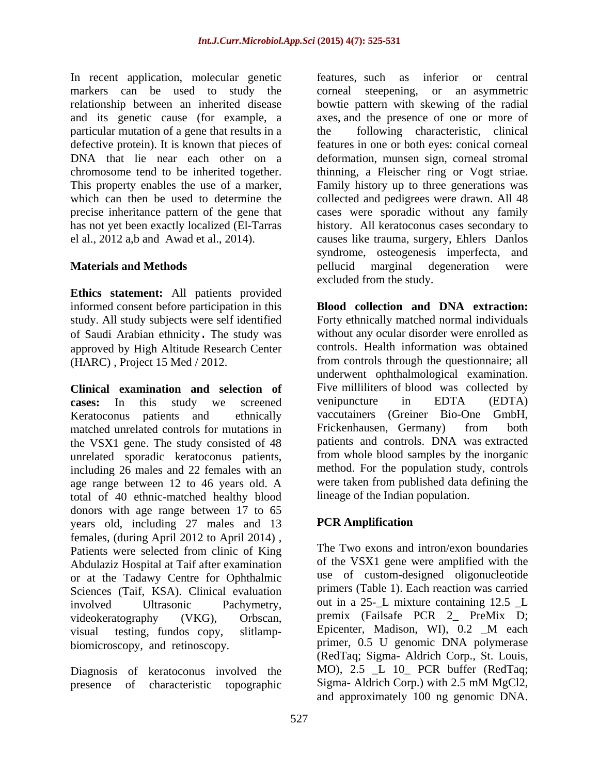In recent application, molecular genetic markers can be used to study the corneal steepening, or an asymmetric particular mutation of a gene that results in a which can then be used to determine the

**Ethics statement:** All patients provided informed consent before participation in this study. All study subjects were self identified of Saudi Arabian ethnicity. The study was approved by High Altitude Research Center

**Clinical examination and selection of** Five milliliters of blood was cases: In this study we screened venipuncture in EDTA matched unrelated controls for mutations in Frickenhausen, Germany) from both the VSX1 gene. The study consisted of 48 unrelated sporadic keratoconus patients, including 26 males and 22 females with an age range between 12 to 46 years old. A total of 40 ethnic-matched healthy blood donors with age range between 17 to 65<br>vears old including 27 males and 13 **PCR Amplification** years old, including 27 males and 13 females, (during April 2012 to April 2014) , Patients were selected from clinic of King Abdulaziz Hospital at Taif after examination or at the Tadawy Centre for Ophthalmic Sciences (Taif, KSA). Clinical evaluation visual testing, fundos copy, slitlamp-<br>Epicenter, Madison, WI), 0.2 M each biomicroscopy, and retinoscopy.

Diagnosis of keratoconus involved the presence of characteristic topographic Sigma-Aldrich Corp.) with 2.5 mM MgCl2,

relationship between an inherited disease bowtie pattern with skewing of the radial and its genetic cause (for example, a axes, and the presence of one or more of defective protein). It is known that pieces of features in one or both eyes: conical corneal DNA that lie near each other on a deformation, munsen sign, corneal stromal chromosome tend to be inherited together. thinning, a Fleischer ring or Vogt striae. This property enables the use of a marker, Family history up to three generations was precise inheritance pattern of the gene that cases were sporadic without any family has not yet been exactly localized (El-Tarras history. All keratoconus cases secondary to el al., 2012 a,b and Awad et al., 2014). causes like trauma, surgery, Ehlers Danlos **Materials and Methods Example 1 Conserverse in the pellucid** marginal degeneration were features, such as inferior or central corneal steepening, or an asymmetric following characteristic, clinical collected and pedigrees were drawn. All 48 syndrome, osteogenesis imperfecta, and pellucid marginal degeneration were excluded from the study.

(HARC) , Project 15 Med / 2012. from controls through the questionnaire; all **cases:** In this study we screened Keratoconus patients and ethnically vaccutainers (Greiner Bio-One GmbH, **Blood collection and DNA extraction:** Forty ethnically matched normal individuals without any ocular disorder were enrolled as controls. Health information was obtained underwent ophthalmological examination. Five milliliters of blood was collected by venipuncture in EDTA (EDTA) Frickenhausen, Germany) from both patients and controls. DNA was extracted from whole blood samples by the inorganic method. For the population study, controls were taken from published data defining the lineage of the Indian population.

## **PCR Amplification**

involved Ultrasonic Pachymetry, out in a 25-\_L mixture containing 12.5 \_L videokeratography (VKG), Orbscan, premix (Failsafe PCR 2\_ PreMix D; The Two exons and intron/exon boundaries of the VSX1 gene were amplified with the use of custom-designed oligonucleotide primers (Table 1). Each reaction was carried Epicenter, Madison, WI), 0.2 \_M each primer, 0.5 U genomic DNA polymerase (RedTaq; Sigma- Aldrich Corp., St. Louis, MO), 2.5 \_L 10\_ PCR buffer (RedTaq; Sigma- Aldrich Corp.) with 2.5 mM MgCl2, and approximately 100 ng genomic DNA.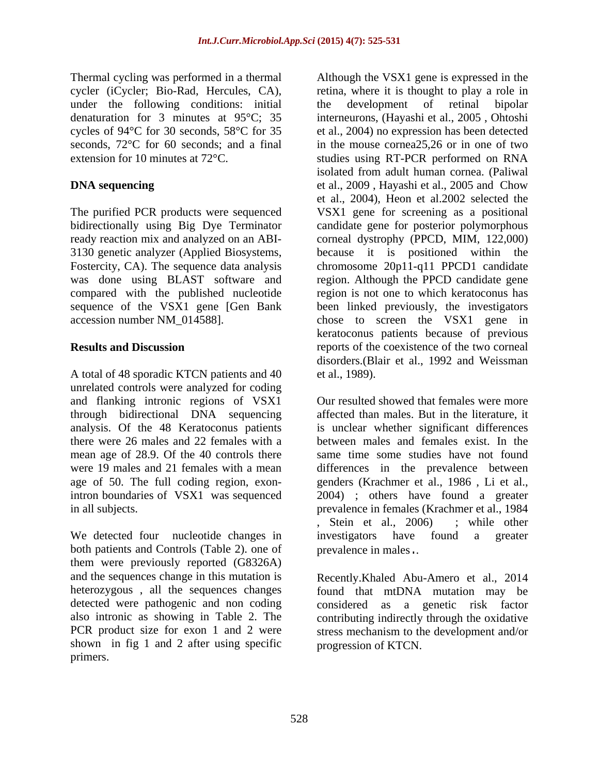Thermal cycling was performed in a thermal Although the VSX1 gene is expressed in the under the following conditions: initial the development of retinal bipolar

3130 genetic analyzer (Applied Biosystems, because it is positioned within the was done using BLAST software and

A total of 48 sporadic KTCN patients and 40 et al., 1989). unrelated controls were analyzed for coding and flanking intronic regions of VSX1 mean age of 28.9. Of the 40 controls there

We detected four nucleotide changes in investigators have found a greater both patients and Controls (Table 2). one of them were previously reported (G8326A) and the sequences change in this mutation is Recently.Khaled Abu-Amero et al., 2014 detected were pathogenic and non coding considered as a genetic risk factor shown in fig 1 and 2 after using specific

cycler (iCycler; Bio-Rad, Hercules, CA), retina, where it is thought to play a role in denaturation for 3 minutes at 95°C; 35 interneurons, (Hayashi et al., 2005 ,Ohtoshi cycles of 94<sup>o</sup>C for 30 seconds, 58<sup>o</sup>C for 35 et al., 2004) no expression has been detected seconds, 72°C for 60 seconds; and a final in the mouse cornea25,26 or in one of two extension for 10 minutes at 72°C. studies using RT-PCR performed on RNA **DNA sequencing** et al., 2009, Hayashi et al., 2005 and Chow The purified PCR products were sequenced VSX1 gene for screening as a positional bidirectionally using Big Dye Terminator candidate gene for posterior polymorphous ready reaction mix and analyzed on an ABI- corneal dystrophy (PPCD, MIM, 122,000) Fostercity, CA). The sequence data analysis chromosome 20p11-q11 PPCD1 candidate compared with the published nucleotide region is not one to which keratoconus has sequence of the VSX1 gene [Gen Bank been linked previously, the investigators accession number NM\_014588]. chose to screen the VSX1 gene in **Results and Discussion** reports of the coexistence of the two corneal The<br>name cyclic mathemal expressed in the normal expression in the state separation<br>in the state in the state of the state of the state of the state of the state of the state of the<br>primer control of the state of the stat the development of retinal bipolar isolated from adult human cornea. (Paliwal et al., 2004), Heon et al.2002 selected the because it is positioned within region. Although the PPCD candidate gene keratoconus patients because of previous disorders.(Blair et al., 1992 and Weissman et al., 1989).

through bidirectional DNA sequencing affected than males. But in the literature, it analysis. Of the 48 Keratoconus patients is unclear whether significant differences there were 26 males and 22 females with a between males and females exist. In the were 19 males and 21 females with a mean differences in the prevalence between age of 50. The full coding region, exon-genders (Krachmer et al., 1986 , Li et al., intron boundaries of VSX1 was sequenced 2004) ; others have found a greater in all subjects. prevalence in females (Krachmer et al., 1984 Our resulted showed that females were more same time some studies have not found , Stein et al., 2006) ; while other investigators have found a greater prevalence in males..

heterozygous , all the sequences changes found that mtDNA mutation may be also intronic as showing in Table 2. The contributing indirectly through the oxidative PCR product size for exon 1 and 2 were stress mechanism to the development and/or considered as a genetic risk factor progression of KTCN.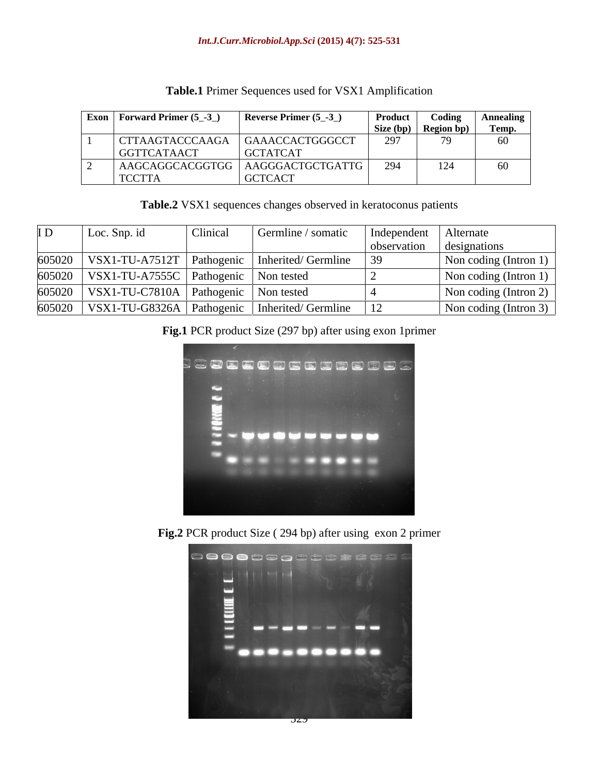| $\vert$ Exon $\vert$ Forward Primer (5_-3_) | Reverse Primer $(5$ <sub>-3</sub> | <b>Product</b> | Coding               | Annealing |
|---------------------------------------------|-----------------------------------|----------------|----------------------|-----------|
|                                             |                                   |                | Size (bp) Region bp) | Temp.     |
| CTTAAGTACCCAAGA                             | GAAACCACTGGGCCT                   | 297            |                      | 60        |
| GGTTCATAACT                                 | <b>GCTATCAT</b>                   |                |                      |           |
| AAGCAGGCACGGTGG                             | AAGGGACTGCTGATTG                  | 294            |                      | 60        |
| <b>TCCTTA</b>                               | <b>GCTCACT</b>                    |                |                      |           |

### **Table.1** Primer Sequences used for VSX1 Amplification

**Table.2** VSX1 sequences changes observed in keratoconus patients

| I D | Loc. Snp. id                                        | Clinical | Germline / somatic                                           | Independent   Alternate |                               |
|-----|-----------------------------------------------------|----------|--------------------------------------------------------------|-------------------------|-------------------------------|
|     |                                                     |          |                                                              | observation             | designations                  |
|     |                                                     |          | 605020   VSX1-TU-A7512T   Pathogenic   Inherited/ Germline   |                         | Non coding (Intron 1) $\vert$ |
|     | $605020$   VSX1-TU-A7555C   Pathogenic   Non tested |          |                                                              |                         | Non coding (Intron 1) $\vert$ |
|     | $605020$   VSX1-TU-C7810A   Pathogenic   Non tested |          |                                                              |                         | Non coding (Intron 2)         |
|     |                                                     |          | $605020$   VSX1-TU-G8326A   Pathogenic   Inherited/ Germline |                         | Non coding (Intron 3)         |

## **Fig.1** PCR product Size (297 bp) after using exon 1primer



**Fig.2** PCR product Size ( 294 bp) after using exon 2 primer

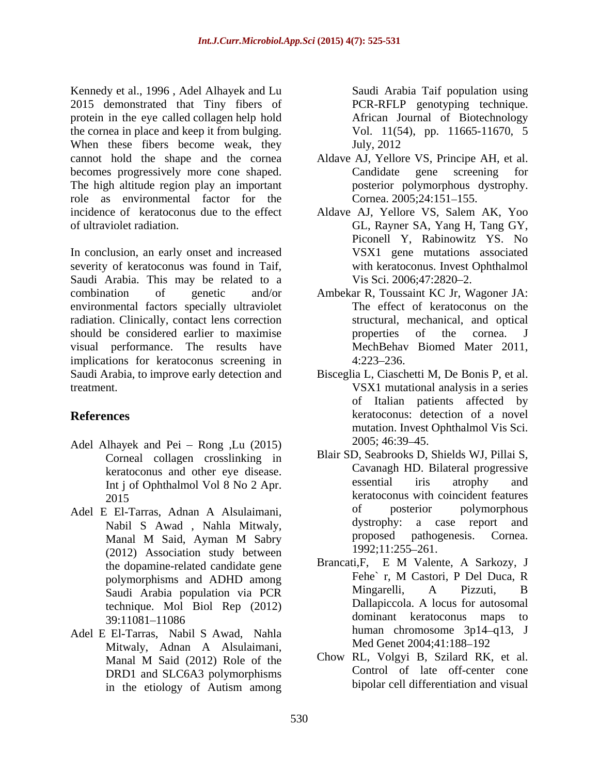Kennedy et al., 1996 , Adel Alhayek and Lu 2015 demonstrated that Tiny fibers of protein in the eye called collagen help hold the cornea in place and keep it from bulging. When these fibers become weak, they July, 2012 cannot hold the shape and the cornea Aldave AJ, Yellore VS, Principe AH, et al. becomes progressively more cone shaped. Candidate gene screening for The high altitude region play an important role as environmental factor for the Cornea 2005:24:151-155. incidence of keratoconus due to the effect Aldave AJ, Yellore VS, Salem AK,Yoo

In conclusion, an early onset and increased severity of keratoconus was found in Taif, Saudi Arabia. This may be related to a Vis Sci. 2006;47:2820-2. combination of genetic and/or Ambekar R, Toussaint KC Jr, Wagoner JA: environmental factors specially ultraviolet radiation. Clinically, contact lens correction should be considered earlier to maximise **properties** of the cornea. J visual performance. The results have implications for keratoconus screening in  $4:223-236$ . Saudi Arabia, to improve early detection and treatment. VSX1 mutational analysis in a series

- Adel Alhayek and Pei Rong ,Lu (2015) 2005; 46:39–45. Corneal collagen crosslinking in Int j of Ophthalmol Vol 8 No 2 Apr.
- (2012) Association study between  $1992;11:255-261$ . technique. Mol Biol Rep (2012)
- Adel E El-Tarras, Nabil S Awad, Nahla Mitwaly, Adnan A Alsulaimani, Med Genet 2004;41:188–192 DRD1 and SLC6A3 polymorphisms in the etiology of Autism among

Saudi Arabia Taif population using PCR-RFLP genotyping technique. African Journal of Biotechnology Vol. 11(54), pp. 11665-11670, 5 July, 2012

- Candidate gene screening for posterior polymorphous dystrophy. Cornea. 2005;24:151–155.
- of ultraviolet radiation. GL, Rayner SA, Yang H, Tang GY, Piconell Y, Rabinowitz YS. No VSX1 gene mutations associated with keratoconus. Invest Ophthalmol Vis Sci. 2006;47:2820–2.
	- The effect of keratoconus on the structural, mechanical, and optical properties of the cornea. J MechBehav Biomed Mater 2011,  $4:223-236.$
- **References** keratoconus: detection of a novel Bisceglia L, Ciaschetti M, De Bonis P, et al. of Italian patients affected by mutation. Invest Ophthalmol Vis Sci. 2005; 46:39 45.
- keratoconus and other eye disease. Cavanagh HD. Bilateral progressive<br>Int i of Ophthalmol Vol. 8 No. 2 Apr. essential iris atrophy and 2015 Representation Research Secret Secret Assembly Representation Secret Assembly Research Secret Secret Assembly Research Secret Secret Assembly Research Secret Secret Assembly Research Secret Secret Secret Assembly Rese Adel E El-Tarras, Adnan A Alsulaimani, of posterior polymorphous<br>Nabil S Awad Nabla Mitwaly dystrophy: a case report and Nabil S Awad , Nahla Mitwaly, discrept and dystrophy: a case report and Manal M Said Avman M Sahry Manal M Said, Ayman M Sabry Blair SD, Seabrooks D, Shields WJ, Pillai S, Cavanagh HD. Bilateral progressive essential iris atrophy and keratoconus with coincident features of posterior polymorphous dystrophy: a case report and proposed pathogenesis. Cornea. 1992;11:255 261.
	- the dopamine-related candidate gene Brancati, F. E. M. Valente, A. Sarkozy, J. Polymorphisms and ADHD among polymorphisms and ADHD among Fene r, M Castori, P Del Duca, R Saudi Arabia population via PCR<br>
	Saudi Arabia population via PCR<br>
	Dallapiccola A locus for autosomal 39:11081–11086 commant commant command command community maps to Brancati,F, E M Valente, A Sarkozy, J Fehe` r, M Castori, P Del Duca, R Mingarelli, A Pizzuti, B Dallapiccola. A locus for autosomal dominant keratoconus maps to human chromosome  $3p14-q13$ , J Med Genet 2004;41:188-192
	- Manal M Said (2012) Role of the Chow RL, Volgyi B, Szilard RK, et al. Chow RL, Volgyi B, Szilard RK, et al. Control of late off-center cone bipolar cell differentiation and visual